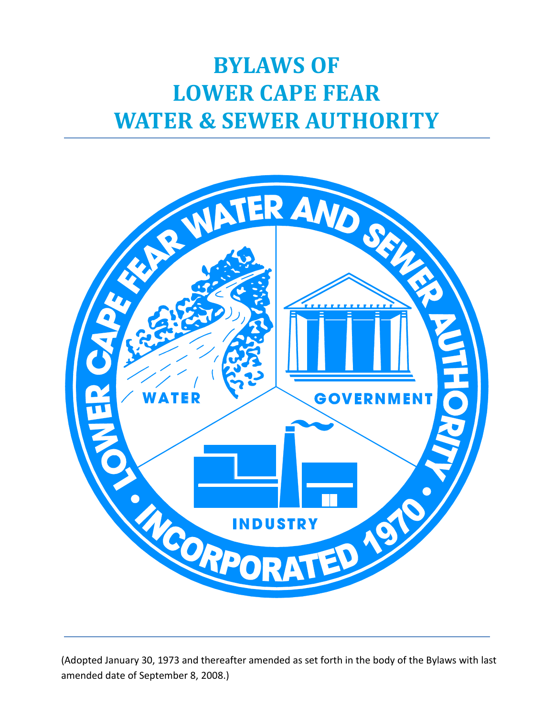# **BYLAWS OF LOWER CAPE FEAR WATER & SEWER AUTHORITY**



(Adopted January 30, 1973 and thereafter amended as set forth in the body of the Bylaws with last amended date of September 8, 2008.)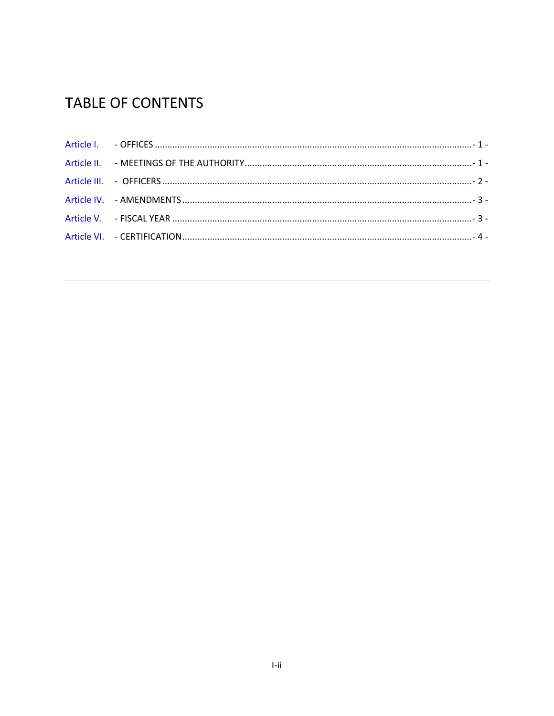## **TABLE OF CONTENTS**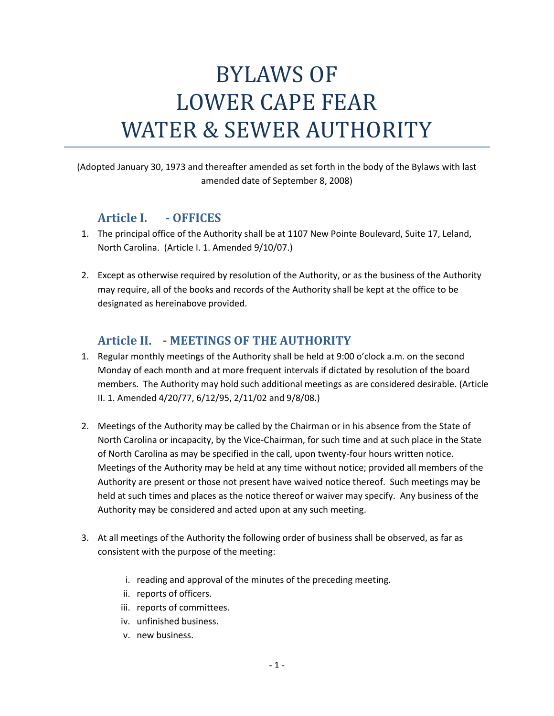# BYLAWS OF LOWER CAPE FEAR WATER & SEWER AUTHORITY

(Adopted January 30, 1973 and thereafter amended as set forth in the body of the Bylaws with last amended date of September 8, 2008)

#### <span id="page-2-0"></span>**Article I. - OFFICES**

- 1. The principal office of the Authority shall be at 1107 New Pointe Boulevard, Suite 17, Leland, North Carolina. (Article I. 1. Amended 9/10/07.)
- 2. Except as otherwise required by resolution of the Authority, or as the business of the Authority may require, all of the books and records of the Authority shall be kept at the office to be designated as hereinabove provided.

### **Article II. - MEETINGS OF THE AUTHORITY**

- <span id="page-2-1"></span>1. Regular monthly meetings of the Authority shall be held at 9:00 o'clock a.m. on the second Monday of each month and at more frequent intervals if dictated by resolution of the board members. The Authority may hold such additional meetings as are considered desirable. (Article II. 1. Amended 4/20/77, 6/12/95, 2/11/02 and 9/8/08.)
- 2. Meetings of the Authority may be called by the Chairman or in his absence from the State of North Carolina or incapacity, by the Vice-Chairman, for such time and at such place in the State of North Carolina as may be specified in the call, upon twenty-four hours written notice. Meetings of the Authority may be held at any time without notice; provided all members of the Authority are present or those not present have waived notice thereof. Such meetings may be held at such times and places as the notice thereof or waiver may specify. Any business of the Authority may be considered and acted upon at any such meeting.
- 3. At all meetings of the Authority the following order of business shall be observed, as far as consistent with the purpose of the meeting:
	- i. reading and approval of the minutes of the preceding meeting.
	- ii. reports of officers.
	- iii. reports of committees.
	- iv. unfinished business.
	- v. new business.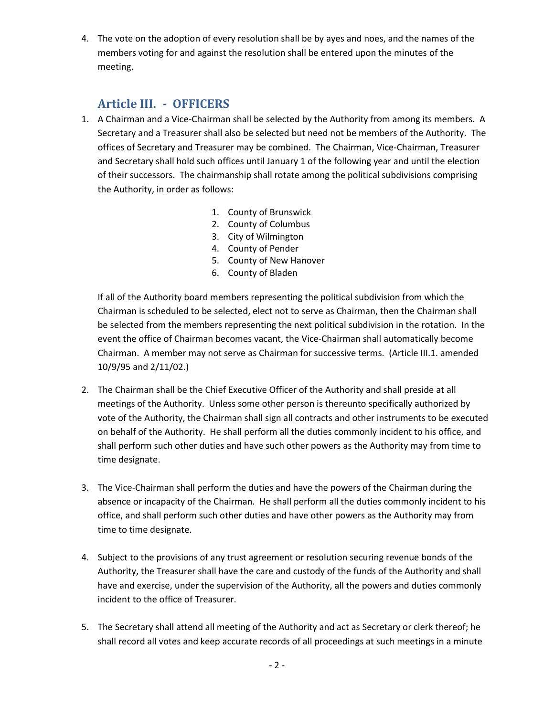4. The vote on the adoption of every resolution shall be by ayes and noes, and the names of the members voting for and against the resolution shall be entered upon the minutes of the meeting.

### **Article III. - OFFICERS**

- <span id="page-3-0"></span>1. A Chairman and a Vice-Chairman shall be selected by the Authority from among its members. A Secretary and a Treasurer shall also be selected but need not be members of the Authority. The offices of Secretary and Treasurer may be combined. The Chairman, Vice-Chairman, Treasurer and Secretary shall hold such offices until January 1 of the following year and until the election of their successors. The chairmanship shall rotate among the political subdivisions comprising the Authority, in order as follows:
	- 1. County of Brunswick
	- 2. County of Columbus
	- 3. City of Wilmington
	- 4. County of Pender
	- 5. County of New Hanover
	- 6. County of Bladen

If all of the Authority board members representing the political subdivision from which the Chairman is scheduled to be selected, elect not to serve as Chairman, then the Chairman shall be selected from the members representing the next political subdivision in the rotation. In the event the office of Chairman becomes vacant, the Vice-Chairman shall automatically become Chairman. A member may not serve as Chairman for successive terms. (Article III.1. amended 10/9/95 and 2/11/02.)

- 2. The Chairman shall be the Chief Executive Officer of the Authority and shall preside at all meetings of the Authority. Unless some other person is thereunto specifically authorized by vote of the Authority, the Chairman shall sign all contracts and other instruments to be executed on behalf of the Authority. He shall perform all the duties commonly incident to his office, and shall perform such other duties and have such other powers as the Authority may from time to time designate.
- 3. The Vice-Chairman shall perform the duties and have the powers of the Chairman during the absence or incapacity of the Chairman. He shall perform all the duties commonly incident to his office, and shall perform such other duties and have other powers as the Authority may from time to time designate.
- 4. Subject to the provisions of any trust agreement or resolution securing revenue bonds of the Authority, the Treasurer shall have the care and custody of the funds of the Authority and shall have and exercise, under the supervision of the Authority, all the powers and duties commonly incident to the office of Treasurer.
- 5. The Secretary shall attend all meeting of the Authority and act as Secretary or clerk thereof; he shall record all votes and keep accurate records of all proceedings at such meetings in a minute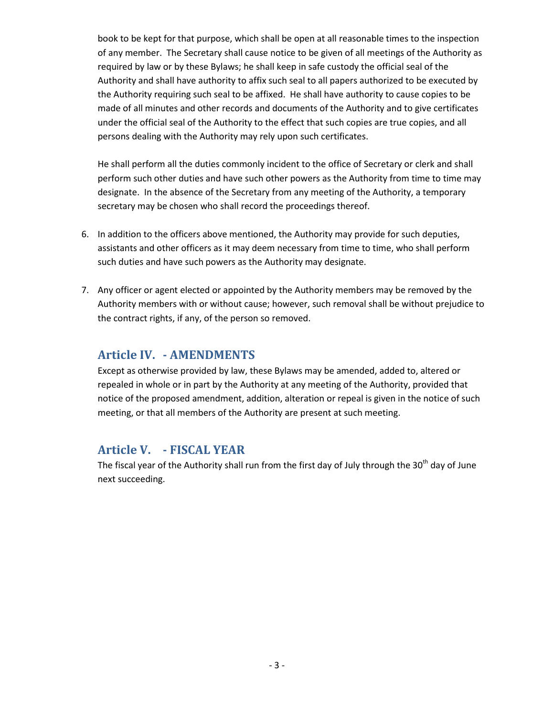book to be kept for that purpose, which shall be open at all reasonable times to the inspection of any member. The Secretary shall cause notice to be given of all meetings of the Authority as required by law or by these Bylaws; he shall keep in safe custody the official seal of the Authority and shall have authority to affix such seal to all papers authorized to be executed by the Authority requiring such seal to be affixed. He shall have authority to cause copies to be made of all minutes and other records and documents of the Authority and to give certificates under the official seal of the Authority to the effect that such copies are true copies, and all persons dealing with the Authority may rely upon such certificates.

He shall perform all the duties commonly incident to the office of Secretary or clerk and shall perform such other duties and have such other powers as the Authority from time to time may designate. In the absence of the Secretary from any meeting of the Authority, a temporary secretary may be chosen who shall record the proceedings thereof.

- 6. In addition to the officers above mentioned, the Authority may provide for such deputies, assistants and other officers as it may deem necessary from time to time, who shall perform such duties and have such powers as the Authority may designate.
- 7. Any officer or agent elected or appointed by the Authority members may be removed by the Authority members with or without cause; however, such removal shall be without prejudice to the contract rights, if any, of the person so removed.

#### <span id="page-4-0"></span>**Article IV. - AMENDMENTS**

Except as otherwise provided by law, these Bylaws may be amended, added to, altered or repealed in whole or in part by the Authority at any meeting of the Authority, provided that notice of the proposed amendment, addition, alteration or repeal is given in the notice of such meeting, or that all members of the Authority are present at such meeting.

#### <span id="page-4-1"></span>**Article V. - FISCAL YEAR**

The fiscal year of the Authority shall run from the first day of July through the 30<sup>th</sup> day of June next succeeding.